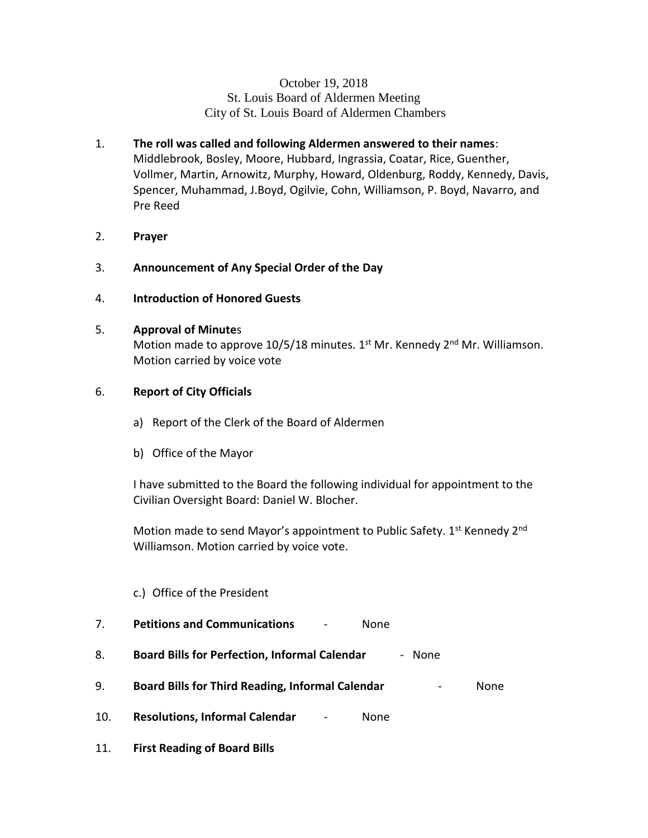# October 19, 2018 St. Louis Board of Aldermen Meeting City of St. Louis Board of Aldermen Chambers

- 1. **The roll was called and following Aldermen answered to their names**: Middlebrook, Bosley, Moore, Hubbard, Ingrassia, Coatar, Rice, Guenther, Vollmer, Martin, Arnowitz, Murphy, Howard, Oldenburg, Roddy, Kennedy, Davis, Spencer, Muhammad, J.Boyd, Ogilvie, Cohn, Williamson, P. Boyd, Navarro, and Pre Reed
- 2. **Prayer**
- 3. **Announcement of Any Special Order of the Day**
- 4. **Introduction of Honored Guests**
- 5. **Approval of Minute**s

Motion made to approve  $10/5/18$  minutes.  $1<sup>st</sup>$  Mr. Kennedy  $2<sup>nd</sup>$  Mr. Williamson. Motion carried by voice vote

# 6. **Report of City Officials**

- a) Report of the Clerk of the Board of Aldermen
- b) Office of the Mayor

I have submitted to the Board the following individual for appointment to the Civilian Oversight Board: Daniel W. Blocher.

Motion made to send Mayor's appointment to Public Safety. 1<sup>st</sup> Kennedy 2<sup>nd</sup> Williamson. Motion carried by voice vote.

# c.) Office of the President

- 7. **Petitions and Communications** None
- 8. **Board Bills for Perfection, Informal Calendar** None
- 9. **Board Bills for Third Reading, Informal Calendar** None
- 10. **Resolutions, Informal Calendar** None
- 11. **First Reading of Board Bills**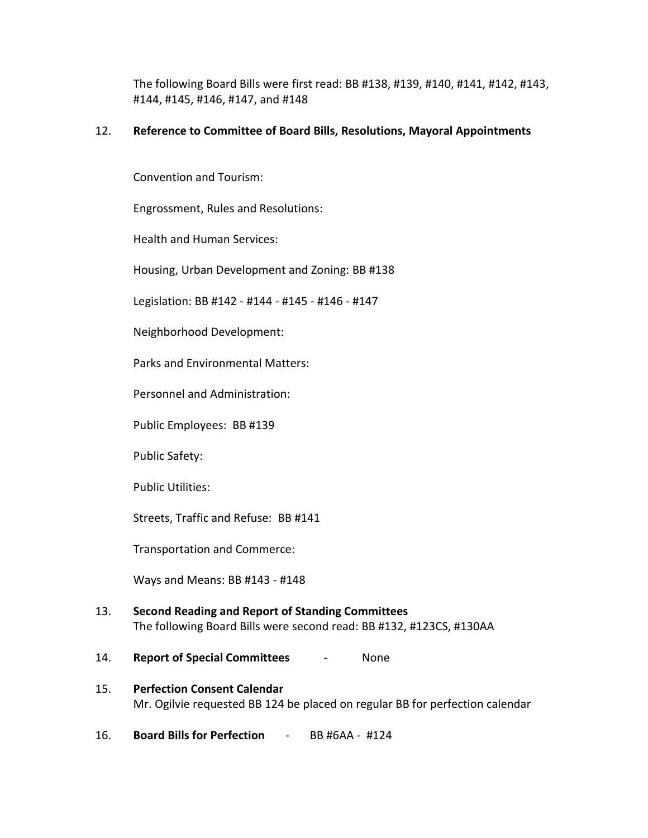The following Board Bills were first read: BB #138, #139, #140, #141, #142, #143, #144, #145, #146, #147, and #148

# 12. **Reference to Committee of Board Bills, Resolutions, Mayoral Appointments**

Convention and Tourism:

Engrossment, Rules and Resolutions:

Health and Human Services:

Housing, Urban Development and Zoning: BB #138

Legislation: BB #142 - #144 - #145 - #146 - #147

Neighborhood Development:

Parks and Environmental Matters:

Personnel and Administration:

Public Employees: BB #139

Public Safety:

Public Utilities:

Streets, Traffic and Refuse: BB #141

Transportation and Commerce:

Ways and Means: BB #143 - #148

- 13. **Second Reading and Report of Standing Committees** The following Board Bills were second read: BB #132, #123CS, #130AA
- 14. **Report of Special Committees** None
- 15. **Perfection Consent Calendar** Mr. Ogilvie requested BB 124 be placed on regular BB for perfection calendar
- 16. **Board Bills for Perfection** BB #6AA #124